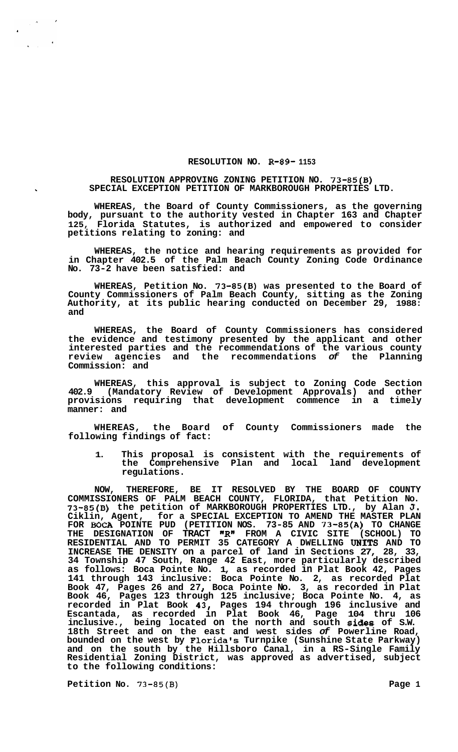## **RESOLUTION NO. R-89- 1153**

## **RESOLUTION APPROVING ZONING PETITION NO. 73-85(B) SPECIAL EXCEPTION PETITION OF MARKBOROUGH PROPERTIES LTD.**

**WHEREAS, the Board of County Commissioners, as the governing body, pursuant to the authority vested in Chapter 163 and Chapter 125, Florida Statutes, is authorized and empowered to consider petitions relating to zoning: and** 

**WHEREAS, the notice and hearing requirements as provided for in Chapter 402.5 of the Palm Beach County Zoning Code Ordinance No. 73-2 have been satisfied: and** 

**WHEREAS, Petition No. 73-85(B) was presented to the Board of County Commissioners of Palm Beach County, sitting as the Zoning Authority, at its public hearing conducted on December 29, 1988: and** 

**WHEREAS, the Board of County Commissioners has considered the evidence and testimony presented by the applicant and other interested parties and the recommendations of the various county review agencies and the recommendations** *of* **the Planning Commission: and** 

**WHEREAS, this approval is subject to Zoning Code Section 402.9 (Mandatory Review of Development Approvals) and other provisions requiring that development commence in a timely manner: and** 

**WHEREAS, the Board of County Commissioners made the following findings of fact:** 

**1. This proposal is consistent with the requirements of the Comprehensive Plan and local land development regulations.** 

**NOW, THEREFORE, BE IT RESOLVED BY THE BOARD OF COUNTY COMMISSIONERS OF PALM BEACH COUNTY, FLORIDA, that Petition No. 73-85(B) the petition of MARKBOROUGH PROPERTIES LTD., by Alan J. Ciklin, Agent, for a SPECIAL EXCEPTION TO AMEND THE MASTER PLAN FOR** BOCA **POINTE PUD (PETITION NOS. 73-85 AND 73-85(A) TO CHANGE THE DESIGNATION OF TRACT "R" FROM A CIVIC SITE (SCHOOL) TO RESIDENTIAL AND TO PERMIT 35 CATEGORY A DWELLING UNlTS AND TO INCREASE THE DENSITY on a parcel of land in Sections 27, 28, 33, 34 Township 47 South, Range 42 East, more particularly described as follows: Boca Pointe No. 1, as recorded in Plat Book 42, Pages 141 through 143 inclusive: Boca Pointe No. 2, as recorded Plat Book 47, Pages 26 and 27** *I* **Boca Pointe No. 3, as recorded in Plat Book 46, Pages 123 through 125 inclusive; Boca Pointe No. 4, as recorded in Plat Book 431 Pages 194 through 196 inclusive and Escantada, as recorded in Plat Book 46, Page 104 thru 106 inclusive., being located on the north and south sides of S.W. 18th Street and on the east and west sides** *of* **Powerline Road, bounded on the west by Florida's Turnpike (Sunshine State Parkway) and on the south by the Hillsboro Canal, in a RS-Single Family Residential Zoning District, was approved as advertised, subject to the following conditions:** 

**Petition No. 73-85(B) Page 1 Page 1** 

 $\mathbf{k} = \mathbf{q}$  .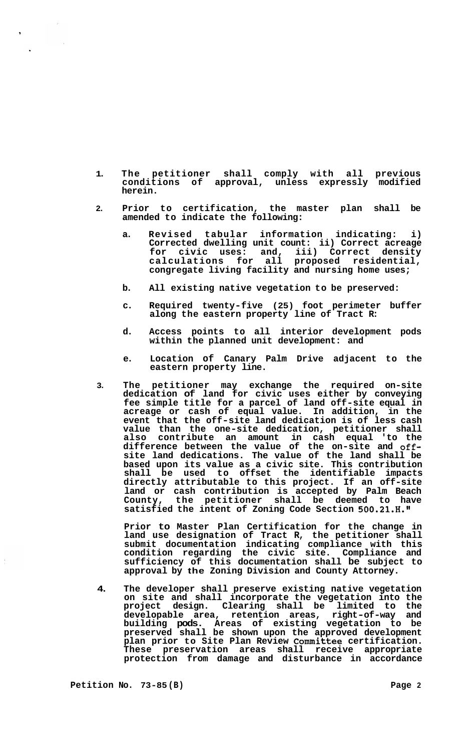- **1. The petitioner shall comply with all previous conditions of approval, unless expressly modified herein.**
- **2. Prior to certification, the master plan shall be amended to indicate the following:** 
	- **a. Revised tabular information indicating: i) Corrected dwelling unit count: ii) Correct acreage for civic uses: and, iii) Correct density calculations for all proposed residential, congregate living facility and nursing home uses;**
	- **b. All existing native vegetation to be preserved:**
	- **c. Required twenty-five (25) foot perimeter buffer along the eastern property line of Tract R:**
	- **d. Access points to all interior development pods within the planned unit development: and**
	- **e. Location of Canary Palm Drive adjacent to the eastern property line.**
- **3. The petitioner may exchange the required on-site dedication of land for civic uses either by conveying fee simple title for a parcel of land off-site equal in acreage or cash of equal value. In addition, in the event that the off-site land dedication is of less cash value than the one-site dedication, petitioner shall also contribute an amount in cash equal 'to the difference between the value of the on-site and offsite land dedications. The value of the land shall be based upon its value as a civic site. This contribution shall be used to offset the identifiable impacts directly attributable to this project. If an off-site land or cash contribution is accepted by Palm Beach County, the petitioner shall be deemed to have satisfied the intent of Zoning Code Section 500.21.H."**

**Prior to Master Plan Certification for the change in land use designation of Tract R, the petitioner shall submit documentation indicating compliance with this condition regarding the civic site. Compliance and sufficiency of this documentation shall be subject to approval by the Zoning Division and County Attorney.** 

**4. The developer shall preserve existing native vegetation on site and shall incorporate the vegetation into the project design. Clearing shall be limited to the developable area, retention areas, right-of-way and building pods. Areas of existing vegetation to be preserved shall be shown upon the approved development plan prior to Site Plan Review Committee certification. These preservation areas shall receive appropriate protection from damage and disturbance in accordance**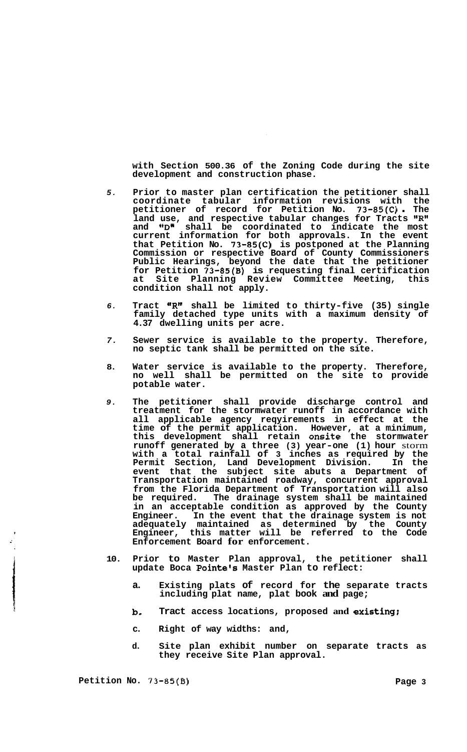**with Section 500.36 of the Zoning Code during the site development and construction phase.** 

- *5.*  **Prior to master plan certification the petitioner shall coordinate tabular information revisions with the petitioner of record for Petition No. 73-85(C)** . **The**  land use, and respective tabular changes for Tracts "R" and **"D"** shall be coordinated to indicate the most **current information for both approvals. In the event that Petition No. 73-85(C) is postponed at the Planning Commission or respective Board of County Commissioners Public Hearings, beyond the date that the petitioner for Petition 73-85(B) is requesting final certification at Site Planning Review Committee Meeting, this condition shall not apply.**
- *6.*  **Tract \*\*R" shall be limited to thirty-five (35) single family detached type units with a maximum density of 4.37 dwelling units per acre.**
- *7.*  **Sewer service is available to the property. Therefore, no septic tank shall be permitted on the site.**
- **8. Water service is available to the property. Therefore, no well shall be permitted on the site to provide potable water.**
- *9.*  **The petitioner shall provide discharge control and treatment for the stormwater runoff in accordance with all applicable agency reqyirements in effect at the time of the permit application. However, at a minimum, this development shall retain onsite the stormwater runoff generated by a three (3) year-one (1) hour** storm **with a total rainfall of 3 inches as required by the Permit Section, Land Development Division. In the event that the subject site abuts a Department of Transportation maintained roadway, concurrent approval from the Florida Department of Transportation will also**  The drainage system shall be maintained **in an acceptable condition as approved by the County Engineer. In the event that the drainage system is not adequately maintained as determined by the County Engineer, this matter will be referred to the Code Enforcement Board for enforcement.**
- **10. Prior to Master Plan approval, the petitioner shall update Boca Pointe's Master Plan to reflect:** 
	- **a. Existing plats of record for the separate tracts including plat name, plat book and page;**
	- **b. Tract access locations, proposed and existing:**
	- **c. Right of way widths: and,**
	- **d. Site plan exhibit number on separate tracts as they receive Site Plan approval.**

**I**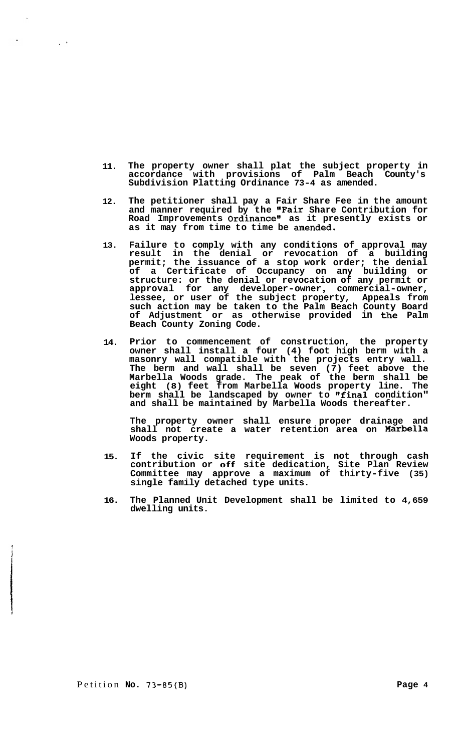- **11. The property owner shall plat the subject property in**  accordance with provisions of Palm Beach **Subdivision Platting Ordinance 73-4 as amended.**
- **12. The petitioner shall pay a Fair Share Fee in the amount and manner required by the "Fair Share Contribution for**  Road Improvements Ordinance" as it presently exists or **as it may from time to time be amended.**
- **13. Failure to comply with any conditions of approval may result in the denial or revocation of a building permit; the issuance of a stop work order; the denial of a Certificate of Occupancy on any building or structure: or the denial or revocation of any permit or approval for any developer-owner** , **commercial-owner, lessee, or user of the subject property, Appeals from such action may be taken to the Palm Beach County Board of Adjustment or as otherwise provided in the Palm Beach County Zoning Code.**
- **14. Prior to commencement of construction, the property owner shall install a four (4) foot high berm with a masonry wall compatible with the projects entry wall. The berm and wall shall be seven (7) feet above the Marbella Woods grade. The peak of the berm shall be eight (8) feet from Marbella Woods property line. The berm shall be landscaped by owner to "final condition" and shall be maintained by Marbella Woods thereafter.**

**The property owner shall ensure proper drainage and shall not create a water retention area on Woods property.** 

- **15. If the civic site requirement is not through cash contribution or off site dedication, Site Plan Review Committee may approve a maximum of thirty-five (35) single family detached type units.**
- **16. The Planned Unit Development shall be limited to 4,659 dwelling units.**

Petition **No. 73-85(B) Page 4** 

i

 $\frac{1}{2}$  .  $\frac{1}{2}$